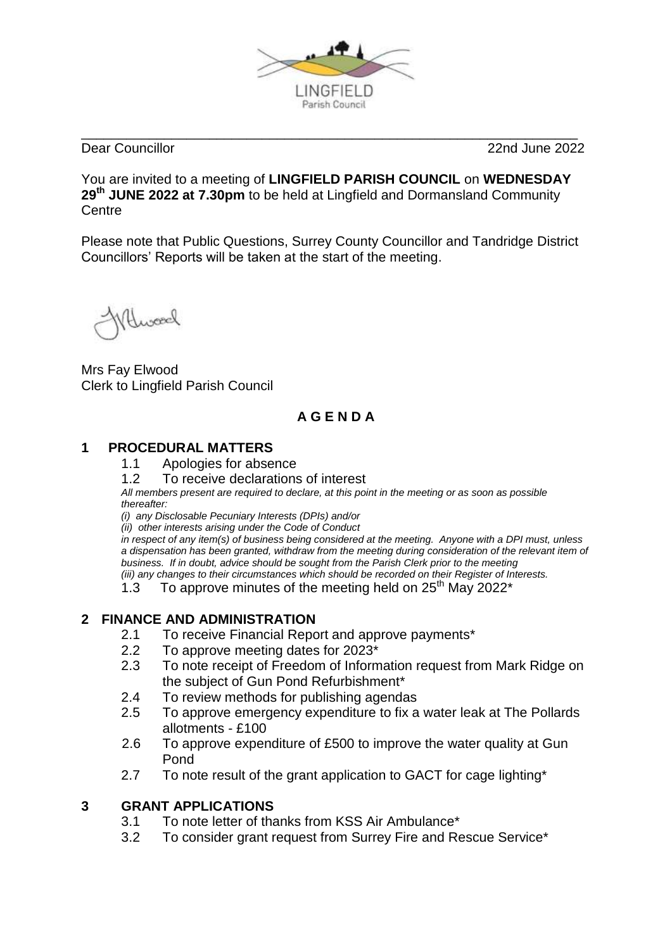

\_\_\_\_\_\_\_\_\_\_\_\_\_\_\_\_\_\_\_\_\_\_\_\_\_\_\_\_\_\_\_\_\_\_\_\_\_\_\_\_\_\_\_\_\_\_\_\_\_\_\_\_\_\_\_\_\_\_\_\_\_\_\_\_\_\_ Dear Councillor 22nd June 2022

You are invited to a meeting of **LINGFIELD PARISH COUNCIL** on **WEDNESDAY 29 th JUNE 2022 at 7.30pm** to be held at Lingfield and Dormansland Community **Centre** 

Please note that Public Questions, Surrey County Councillor and Tandridge District Councillors' Reports will be taken at the start of the meeting.

Nuroed

Mrs Fay Elwood Clerk to Lingfield Parish Council

# **A G E N D A**

## **1 PROCEDURAL MATTERS**

- 1.1 Apologies for absence
- 1.2 To receive declarations of interest

*All members present are required to declare, at this point in the meeting or as soon as possible thereafter:*

*(i) any Disclosable Pecuniary Interests (DPIs) and/or*

*(ii) other interests arising under the Code of Conduct*

*in respect of any item(s) of business being considered at the meeting. Anyone with a DPI must, unless a dispensation has been granted, withdraw from the meeting during consideration of the relevant item of business. If in doubt, advice should be sought from the Parish Clerk prior to the meeting (iii) any changes to their circumstances which should be recorded on their Register of Interests.*

 $1.3$  To approve minutes of the meeting held on 25<sup>th</sup> May 2022<sup>\*</sup>

## **2 FINANCE AND ADMINISTRATION**

- 2.1 To receive Financial Report and approve payments\*
- 2.2 To approve meeting dates for 2023\*
- 2.3 To note receipt of Freedom of Information request from Mark Ridge on the subject of Gun Pond Refurbishment\*
- 2.4 To review methods for publishing agendas
- 2.5 To approve emergency expenditure to fix a water leak at The Pollards allotments - £100
- 2.6 To approve expenditure of £500 to improve the water quality at Gun Pond
- 2.7 To note result of the grant application to GACT for cage lighting\*

## **3 GRANT APPLICATIONS**

- 3.1 To note letter of thanks from KSS Air Ambulance\*
- 3.2 To consider grant request from Surrey Fire and Rescue Service\*